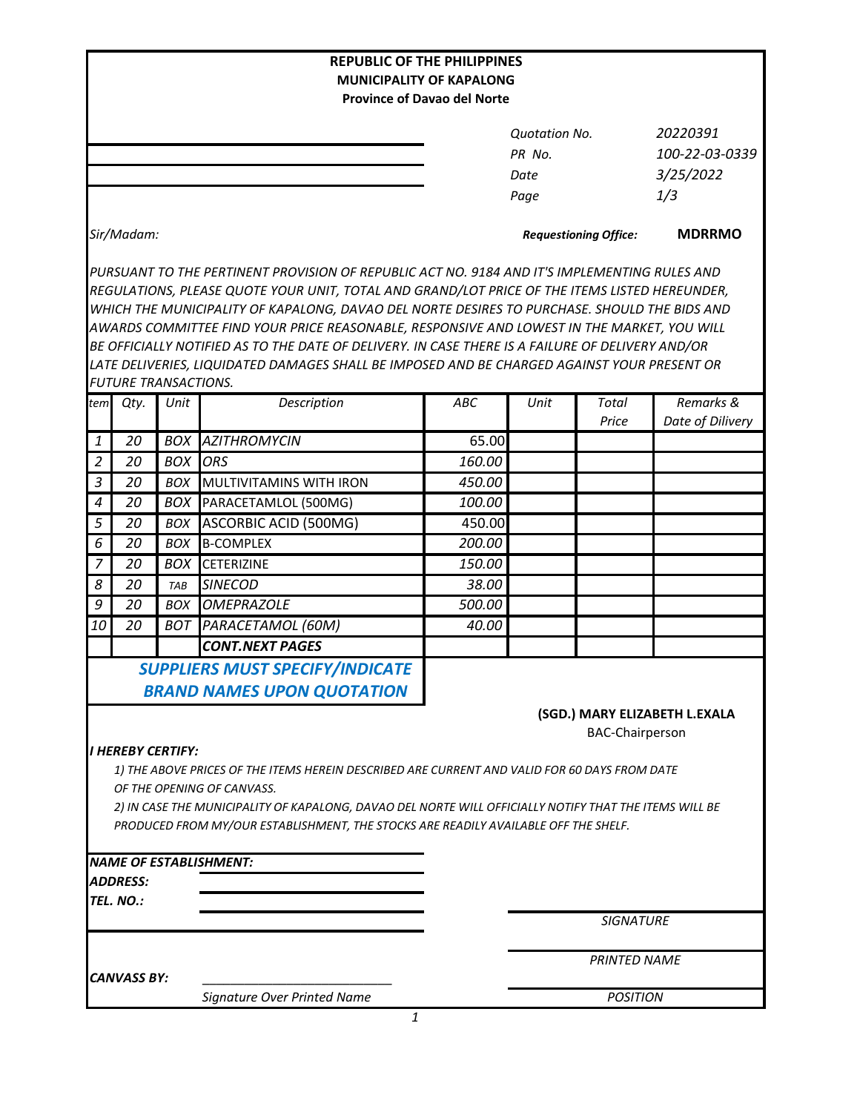|                  |                                                                                                        |            | <b>REPUBLIC OF THE PHILIPPINES</b>                                                               |                                    |                              |                        |                               |  |  |
|------------------|--------------------------------------------------------------------------------------------------------|------------|--------------------------------------------------------------------------------------------------|------------------------------------|------------------------------|------------------------|-------------------------------|--|--|
|                  |                                                                                                        |            | <b>MUNICIPALITY OF KAPALONG</b>                                                                  | <b>Province of Davao del Norte</b> |                              |                        |                               |  |  |
|                  |                                                                                                        |            |                                                                                                  |                                    |                              |                        |                               |  |  |
|                  |                                                                                                        |            |                                                                                                  |                                    | Quotation No.                |                        | 20220391                      |  |  |
|                  |                                                                                                        |            |                                                                                                  |                                    | PR No.                       |                        | 100-22-03-0339                |  |  |
|                  |                                                                                                        |            |                                                                                                  |                                    | Date                         |                        | 3/25/2022                     |  |  |
|                  |                                                                                                        |            |                                                                                                  |                                    | Page                         |                        | 1/3                           |  |  |
|                  |                                                                                                        |            |                                                                                                  |                                    |                              |                        |                               |  |  |
|                  | Sir/Madam:                                                                                             |            |                                                                                                  |                                    | <b>Requestioning Office:</b> | <b>MDRRMO</b>          |                               |  |  |
|                  |                                                                                                        |            | PURSUANT TO THE PERTINENT PROVISION OF REPUBLIC ACT NO. 9184 AND IT'S IMPLEMENTING RULES AND     |                                    |                              |                        |                               |  |  |
|                  |                                                                                                        |            | REGULATIONS, PLEASE QUOTE YOUR UNIT, TOTAL AND GRAND/LOT PRICE OF THE ITEMS LISTED HEREUNDER,    |                                    |                              |                        |                               |  |  |
|                  |                                                                                                        |            | WHICH THE MUNICIPALITY OF KAPALONG, DAVAO DEL NORTE DESIRES TO PURCHASE. SHOULD THE BIDS AND     |                                    |                              |                        |                               |  |  |
|                  |                                                                                                        |            | AWARDS COMMITTEE FIND YOUR PRICE REASONABLE, RESPONSIVE AND LOWEST IN THE MARKET, YOU WILL       |                                    |                              |                        |                               |  |  |
|                  |                                                                                                        |            | BE OFFICIALLY NOTIFIED AS TO THE DATE OF DELIVERY. IN CASE THERE IS A FAILURE OF DELIVERY AND/OR |                                    |                              |                        |                               |  |  |
|                  |                                                                                                        |            | LATE DELIVERIES, LIQUIDATED DAMAGES SHALL BE IMPOSED AND BE CHARGED AGAINST YOUR PRESENT OR      |                                    |                              |                        |                               |  |  |
|                  | <b>FUTURE TRANSACTIONS.</b>                                                                            |            |                                                                                                  |                                    |                              |                        |                               |  |  |
| tem              | Qty.                                                                                                   | Unit       | Description                                                                                      | <b>ABC</b>                         | Unit                         | <b>Total</b>           | Remarks &                     |  |  |
|                  |                                                                                                        |            |                                                                                                  |                                    |                              | Price                  | Date of Dilivery              |  |  |
| $\mathbf{1}$     | 20                                                                                                     |            | <b>BOX AZITHROMYCIN</b>                                                                          | 65.00                              |                              |                        |                               |  |  |
| $\overline{2}$   | 20                                                                                                     | <b>BOX</b> | <b>ORS</b>                                                                                       | 160.00                             |                              |                        |                               |  |  |
| $\mathfrak{Z}$   | 20                                                                                                     | <b>BOX</b> | MULTIVITAMINS WITH IRON                                                                          | 450.00                             |                              |                        |                               |  |  |
| $\boldsymbol{4}$ | 20                                                                                                     | BOX        | PARACETAMLOL (500MG)                                                                             | 100.00                             |                              |                        |                               |  |  |
| 5                | 20                                                                                                     | <b>BOX</b> | <b>ASCORBIC ACID (500MG)</b>                                                                     | 450.00                             |                              |                        |                               |  |  |
| 6                | 20                                                                                                     | <b>BOX</b> | <b>B-COMPLEX</b>                                                                                 | 200.00                             |                              |                        |                               |  |  |
| $\overline{7}$   | 20                                                                                                     | <b>BOX</b> | <b>CETERIZINE</b>                                                                                | 150.00                             |                              |                        |                               |  |  |
| 8                | 20                                                                                                     | TAB        | <b>SINECOD</b>                                                                                   | 38.00                              |                              |                        |                               |  |  |
| 9                | 20                                                                                                     | <b>BOX</b> | <b>OMEPRAZOLE</b>                                                                                | 500.00                             |                              |                        |                               |  |  |
| 10               | 20                                                                                                     | <b>BOT</b> | PARACETAMOL (60M)                                                                                | 40.00                              |                              |                        |                               |  |  |
|                  |                                                                                                        |            | <b>CONT.NEXT PAGES</b>                                                                           |                                    |                              |                        |                               |  |  |
|                  |                                                                                                        |            | <b>SUPPLIERS MUST SPECIFY/INDICATE</b>                                                           |                                    |                              |                        |                               |  |  |
|                  |                                                                                                        |            | <b>BRAND NAMES UPON QUOTATION</b>                                                                |                                    |                              |                        |                               |  |  |
|                  |                                                                                                        |            |                                                                                                  |                                    |                              |                        |                               |  |  |
|                  |                                                                                                        |            |                                                                                                  |                                    |                              |                        | (SGD.) MARY ELIZABETH L.EXALA |  |  |
|                  | <b>I HEREBY CERTIFY:</b>                                                                               |            |                                                                                                  |                                    |                              | <b>BAC-Chairperson</b> |                               |  |  |
|                  |                                                                                                        |            | 1) THE ABOVE PRICES OF THE ITEMS HEREIN DESCRIBED ARE CURRENT AND VALID FOR 60 DAYS FROM DATE    |                                    |                              |                        |                               |  |  |
|                  |                                                                                                        |            | OF THE OPENING OF CANVASS.                                                                       |                                    |                              |                        |                               |  |  |
|                  | 2) IN CASE THE MUNICIPALITY OF KAPALONG, DAVAO DEL NORTE WILL OFFICIALLY NOTIFY THAT THE ITEMS WILL BE |            |                                                                                                  |                                    |                              |                        |                               |  |  |
|                  |                                                                                                        |            | PRODUCED FROM MY/OUR ESTABLISHMENT, THE STOCKS ARE READILY AVAILABLE OFF THE SHELF.              |                                    |                              |                        |                               |  |  |
|                  |                                                                                                        |            |                                                                                                  |                                    |                              |                        |                               |  |  |
|                  |                                                                                                        |            | <b>NAME OF ESTABLISHMENT:</b>                                                                    |                                    |                              |                        |                               |  |  |
|                  | <b>ADDRESS:</b>                                                                                        |            |                                                                                                  |                                    |                              |                        |                               |  |  |
|                  | TEL. NO.:                                                                                              |            |                                                                                                  |                                    |                              |                        |                               |  |  |
|                  |                                                                                                        |            |                                                                                                  |                                    |                              | <b>SIGNATURE</b>       |                               |  |  |
|                  |                                                                                                        |            |                                                                                                  |                                    |                              | <b>PRINTED NAME</b>    |                               |  |  |
|                  | <b>CANVASS BY:</b>                                                                                     |            |                                                                                                  |                                    |                              |                        |                               |  |  |
|                  |                                                                                                        |            | Signature Over Printed Name                                                                      |                                    |                              | <b>POSITION</b>        |                               |  |  |
|                  |                                                                                                        |            | 1                                                                                                |                                    |                              |                        |                               |  |  |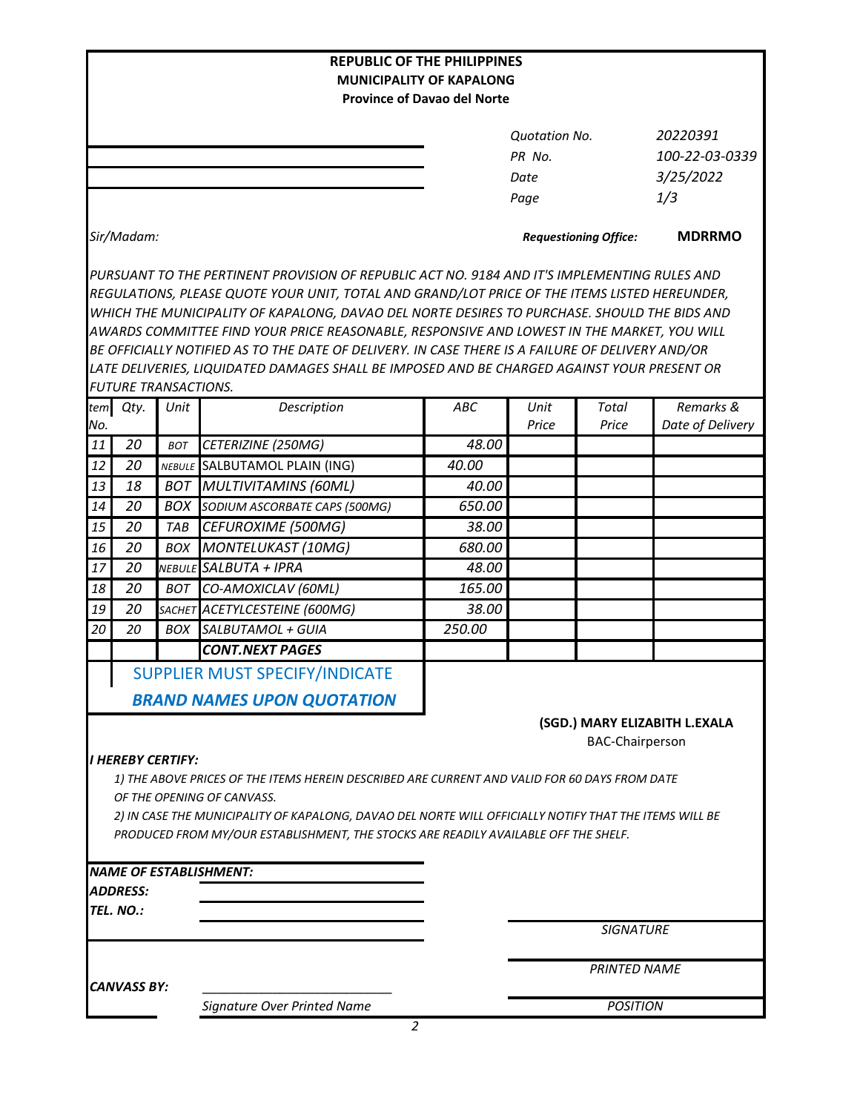|                                 |                                                                                                        |            | <b>REPUBLIC OF THE PHILIPPINES</b>                                                               |                                    |                      |                              |                               |  |  |
|---------------------------------|--------------------------------------------------------------------------------------------------------|------------|--------------------------------------------------------------------------------------------------|------------------------------------|----------------------|------------------------------|-------------------------------|--|--|
| <b>MUNICIPALITY OF KAPALONG</b> |                                                                                                        |            |                                                                                                  |                                    |                      |                              |                               |  |  |
|                                 |                                                                                                        |            |                                                                                                  | <b>Province of Davao del Norte</b> |                      |                              |                               |  |  |
|                                 |                                                                                                        |            |                                                                                                  |                                    | <b>Quotation No.</b> |                              | 20220391                      |  |  |
|                                 |                                                                                                        |            |                                                                                                  |                                    | PR No.               |                              | 100-22-03-0339                |  |  |
|                                 |                                                                                                        |            |                                                                                                  |                                    | Date                 |                              | 3/25/2022                     |  |  |
|                                 |                                                                                                        |            |                                                                                                  |                                    | Page                 |                              | 1/3                           |  |  |
|                                 |                                                                                                        |            |                                                                                                  |                                    |                      |                              |                               |  |  |
|                                 | Sir/Madam:                                                                                             |            |                                                                                                  |                                    |                      | <b>Requestioning Office:</b> | <b>MDRRMO</b>                 |  |  |
|                                 |                                                                                                        |            | PURSUANT TO THE PERTINENT PROVISION OF REPUBLIC ACT NO. 9184 AND IT'S IMPLEMENTING RULES AND     |                                    |                      |                              |                               |  |  |
|                                 |                                                                                                        |            | REGULATIONS, PLEASE QUOTE YOUR UNIT, TOTAL AND GRAND/LOT PRICE OF THE ITEMS LISTED HEREUNDER,    |                                    |                      |                              |                               |  |  |
|                                 |                                                                                                        |            | WHICH THE MUNICIPALITY OF KAPALONG, DAVAO DEL NORTE DESIRES TO PURCHASE. SHOULD THE BIDS AND     |                                    |                      |                              |                               |  |  |
|                                 |                                                                                                        |            | AWARDS COMMITTEE FIND YOUR PRICE REASONABLE, RESPONSIVE AND LOWEST IN THE MARKET, YOU WILL       |                                    |                      |                              |                               |  |  |
|                                 |                                                                                                        |            | BE OFFICIALLY NOTIFIED AS TO THE DATE OF DELIVERY. IN CASE THERE IS A FAILURE OF DELIVERY AND/OR |                                    |                      |                              |                               |  |  |
|                                 |                                                                                                        |            | LATE DELIVERIES, LIQUIDATED DAMAGES SHALL BE IMPOSED AND BE CHARGED AGAINST YOUR PRESENT OR      |                                    |                      |                              |                               |  |  |
|                                 | <b>FUTURE TRANSACTIONS.</b>                                                                            |            |                                                                                                  |                                    |                      |                              |                               |  |  |
| tem                             | Qty.                                                                                                   | Unit       | Description                                                                                      | ABC                                | Unit                 | Total                        | Remarks &                     |  |  |
| No.                             | 20                                                                                                     |            |                                                                                                  | 48.00                              | Price                | Price                        | Date of Delivery              |  |  |
| 11                              | 20                                                                                                     | BOT        | CETERIZINE (250MG)                                                                               |                                    |                      |                              |                               |  |  |
| 12                              |                                                                                                        |            | NEBULE SALBUTAMOL PLAIN (ING)                                                                    | 40.00                              |                      |                              |                               |  |  |
| 13                              | 18<br>20                                                                                               | <b>BOT</b> | MULTIVITAMINS (60ML)                                                                             | 40.00<br>650.00                    |                      |                              |                               |  |  |
| 14                              |                                                                                                        | <b>BOX</b> | SODIUM ASCORBATE CAPS (500MG)                                                                    |                                    |                      |                              |                               |  |  |
| 15                              | 20                                                                                                     | TAB        | CEFUROXIME (500MG)                                                                               | 38.00                              |                      |                              |                               |  |  |
| 16                              | 20                                                                                                     | BOX        | <b>MONTELUKAST (10MG)</b>                                                                        | 680.00                             |                      |                              |                               |  |  |
| 17                              | 20                                                                                                     | NEBULE     | SALBUTA + IPRA                                                                                   | 48.00                              |                      |                              |                               |  |  |
| 18                              | 20                                                                                                     | BOT        | CO-AMOXICLAV (60ML)                                                                              | 165.00                             |                      |                              |                               |  |  |
| 19                              | 20                                                                                                     |            | SACHET ACETYLCESTEINE (600MG)                                                                    | 38.00                              |                      |                              |                               |  |  |
| 20                              | 20                                                                                                     | <b>BOX</b> | SALBUTAMOL + GUIA                                                                                | 250.00                             |                      |                              |                               |  |  |
|                                 |                                                                                                        |            | <b>CONT.NEXT PAGES</b>                                                                           |                                    |                      |                              |                               |  |  |
|                                 |                                                                                                        |            | <b>SUPPLIER MUST SPECIFY/INDICATE</b>                                                            |                                    |                      |                              |                               |  |  |
|                                 |                                                                                                        |            | <b>BRAND NAMES UPON QUOTATION</b>                                                                |                                    |                      |                              |                               |  |  |
|                                 |                                                                                                        |            |                                                                                                  |                                    |                      |                              | (SGD.) MARY ELIZABITH L.EXALA |  |  |
|                                 |                                                                                                        |            |                                                                                                  |                                    |                      | <b>BAC-Chairperson</b>       |                               |  |  |
|                                 | <b>I HEREBY CERTIFY:</b>                                                                               |            |                                                                                                  |                                    |                      |                              |                               |  |  |
|                                 |                                                                                                        |            | 1) THE ABOVE PRICES OF THE ITEMS HEREIN DESCRIBED ARE CURRENT AND VALID FOR 60 DAYS FROM DATE    |                                    |                      |                              |                               |  |  |
|                                 |                                                                                                        |            | OF THE OPENING OF CANVASS.                                                                       |                                    |                      |                              |                               |  |  |
|                                 | 2) IN CASE THE MUNICIPALITY OF KAPALONG, DAVAO DEL NORTE WILL OFFICIALLY NOTIFY THAT THE ITEMS WILL BE |            |                                                                                                  |                                    |                      |                              |                               |  |  |
|                                 |                                                                                                        |            | PRODUCED FROM MY/OUR ESTABLISHMENT, THE STOCKS ARE READILY AVAILABLE OFF THE SHELF.              |                                    |                      |                              |                               |  |  |
|                                 |                                                                                                        |            |                                                                                                  |                                    |                      |                              |                               |  |  |
|                                 |                                                                                                        |            | <b>NAME OF ESTABLISHMENT:</b>                                                                    |                                    |                      |                              |                               |  |  |
|                                 | <i><b>ADDRESS:</b></i>                                                                                 |            |                                                                                                  |                                    |                      |                              |                               |  |  |
| TEL. NO.:<br><b>SIGNATURE</b>   |                                                                                                        |            |                                                                                                  |                                    |                      |                              |                               |  |  |
|                                 |                                                                                                        |            |                                                                                                  |                                    |                      |                              |                               |  |  |
|                                 |                                                                                                        |            |                                                                                                  |                                    | <b>PRINTED NAME</b>  |                              |                               |  |  |
|                                 | <b>CANVASS BY:</b>                                                                                     |            |                                                                                                  |                                    |                      |                              |                               |  |  |
|                                 |                                                                                                        |            | Signature Over Printed Name                                                                      |                                    |                      | <b>POSITION</b>              |                               |  |  |
|                                 |                                                                                                        |            | $\overline{2}$                                                                                   |                                    |                      |                              |                               |  |  |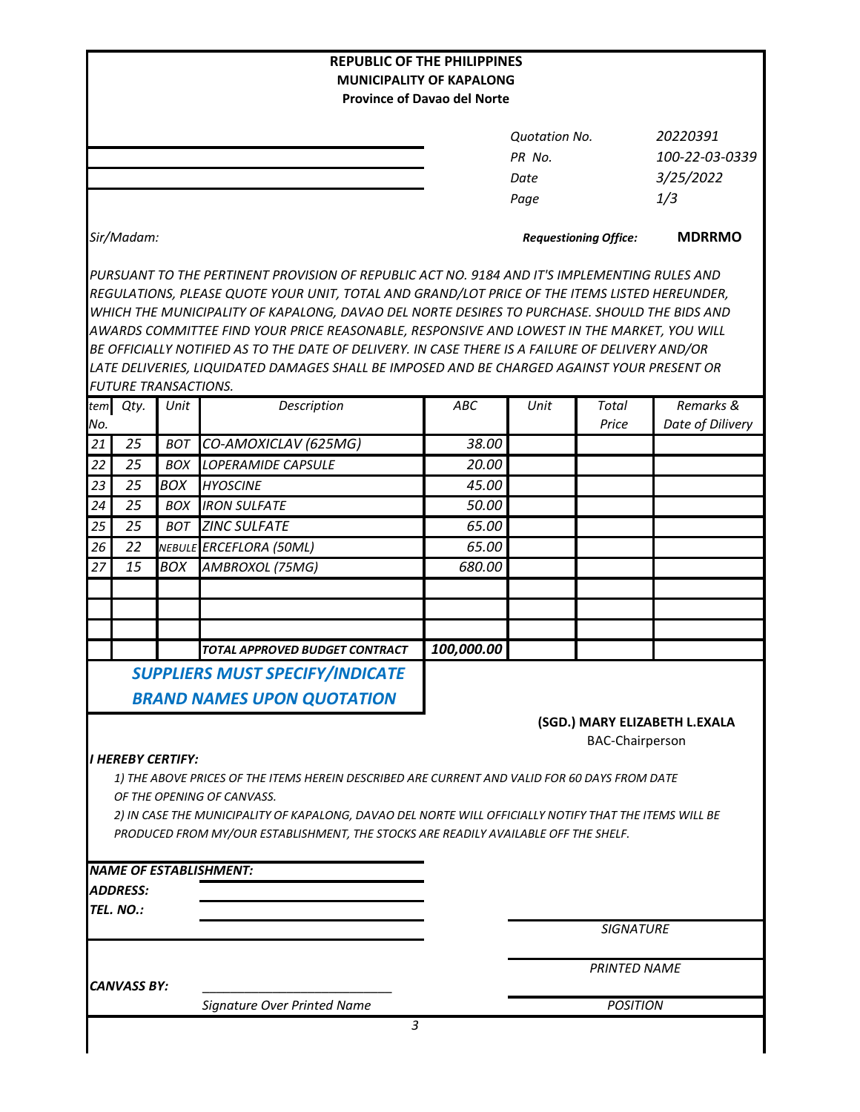|     |                              |            | <b>REPUBLIC OF THE PHILIPPINES</b>                                                                                                                                                                                                                                                                                                                                                                                                                                                                                                                                                             | <b>MUNICIPALITY OF KAPALONG</b>    |                                                |                              |                                                |
|-----|------------------------------|------------|------------------------------------------------------------------------------------------------------------------------------------------------------------------------------------------------------------------------------------------------------------------------------------------------------------------------------------------------------------------------------------------------------------------------------------------------------------------------------------------------------------------------------------------------------------------------------------------------|------------------------------------|------------------------------------------------|------------------------------|------------------------------------------------|
|     |                              |            |                                                                                                                                                                                                                                                                                                                                                                                                                                                                                                                                                                                                | <b>Province of Davao del Norte</b> |                                                |                              |                                                |
|     |                              |            |                                                                                                                                                                                                                                                                                                                                                                                                                                                                                                                                                                                                |                                    | <b>Quotation No.</b><br>PR No.<br>Date<br>Page |                              | 20220391<br>100-22-03-0339<br>3/25/2022<br>1/3 |
|     | Sir/Madam:                   |            |                                                                                                                                                                                                                                                                                                                                                                                                                                                                                                                                                                                                |                                    |                                                | <b>Requestioning Office:</b> | <b>MDRRMO</b>                                  |
|     | <b>FUTURE TRANSACTIONS.</b>  |            | PURSUANT TO THE PERTINENT PROVISION OF REPUBLIC ACT NO. 9184 AND IT'S IMPLEMENTING RULES AND<br>REGULATIONS, PLEASE QUOTE YOUR UNIT, TOTAL AND GRAND/LOT PRICE OF THE ITEMS LISTED HEREUNDER,<br>WHICH THE MUNICIPALITY OF KAPALONG, DAVAO DEL NORTE DESIRES TO PURCHASE. SHOULD THE BIDS AND<br>AWARDS COMMITTEE FIND YOUR PRICE REASONABLE, RESPONSIVE AND LOWEST IN THE MARKET, YOU WILL<br>BE OFFICIALLY NOTIFIED AS TO THE DATE OF DELIVERY. IN CASE THERE IS A FAILURE OF DELIVERY AND/OR<br>LATE DELIVERIES, LIQUIDATED DAMAGES SHALL BE IMPOSED AND BE CHARGED AGAINST YOUR PRESENT OR |                                    |                                                |                              |                                                |
| No. | tem Qty.                     | Unit       | Description                                                                                                                                                                                                                                                                                                                                                                                                                                                                                                                                                                                    | ABC                                | Unit                                           | <b>Total</b><br>Price        | Remarks &<br>Date of Dilivery                  |
| 21  | 25                           | BOT        | CO-AMOXICLAV (625MG)                                                                                                                                                                                                                                                                                                                                                                                                                                                                                                                                                                           | 38.00                              |                                                |                              |                                                |
| 22  | 25                           | <b>BOX</b> | <b>LOPERAMIDE CAPSULE</b>                                                                                                                                                                                                                                                                                                                                                                                                                                                                                                                                                                      | 20.00                              |                                                |                              |                                                |
| 23  | 25                           | <b>BOX</b> | <b>HYOSCINE</b>                                                                                                                                                                                                                                                                                                                                                                                                                                                                                                                                                                                | 45.00                              |                                                |                              |                                                |
| 24  | 25                           | <b>BOX</b> | <b>IRON SULFATE</b>                                                                                                                                                                                                                                                                                                                                                                                                                                                                                                                                                                            | 50.00                              |                                                |                              |                                                |
| 25  | 25                           | <b>BOT</b> | <b>ZINC SULFATE</b>                                                                                                                                                                                                                                                                                                                                                                                                                                                                                                                                                                            | 65.00                              |                                                |                              |                                                |
| 26  | 22                           |            | NEBULE ERCEFLORA (50ML)                                                                                                                                                                                                                                                                                                                                                                                                                                                                                                                                                                        | 65.00                              |                                                |                              |                                                |
| 27  | 15                           | BOX        | AMBROXOL (75MG)                                                                                                                                                                                                                                                                                                                                                                                                                                                                                                                                                                                | 680.00                             |                                                |                              |                                                |
|     |                              |            | TOTAL APPROVED BUDGET CONTRACT                                                                                                                                                                                                                                                                                                                                                                                                                                                                                                                                                                 | 100,000.00                         |                                                |                              |                                                |
|     |                              |            | <b>SUPPLIERS MUST SPECIFY/INDICATE</b>                                                                                                                                                                                                                                                                                                                                                                                                                                                                                                                                                         |                                    |                                                |                              |                                                |
|     |                              |            | <b>BRAND NAMES UPON QUOTATION</b>                                                                                                                                                                                                                                                                                                                                                                                                                                                                                                                                                              |                                    |                                                | <b>BAC-Chairperson</b>       | (SGD.) MARY ELIZABETH L.EXALA                  |
|     | I HEREBY CERTIFY:            |            | 1) THE ABOVE PRICES OF THE ITEMS HEREIN DESCRIBED ARE CURRENT AND VALID FOR 60 DAYS FROM DATE<br>OF THE OPENING OF CANVASS.<br>2) IN CASE THE MUNICIPALITY OF KAPALONG, DAVAO DEL NORTE WILL OFFICIALLY NOTIFY THAT THE ITEMS WILL BE<br>PRODUCED FROM MY/OUR ESTABLISHMENT, THE STOCKS ARE READILY AVAILABLE OFF THE SHELF.                                                                                                                                                                                                                                                                   |                                    |                                                |                              |                                                |
|     |                              |            | <b>NAME OF ESTABLISHMENT:</b>                                                                                                                                                                                                                                                                                                                                                                                                                                                                                                                                                                  |                                    |                                                |                              |                                                |
|     | <b>ADDRESS:</b><br>TEL. NO.: |            |                                                                                                                                                                                                                                                                                                                                                                                                                                                                                                                                                                                                |                                    |                                                |                              |                                                |
|     |                              |            |                                                                                                                                                                                                                                                                                                                                                                                                                                                                                                                                                                                                |                                    |                                                | <b>SIGNATURE</b>             |                                                |
|     | <b>CANVASS BY:</b>           |            |                                                                                                                                                                                                                                                                                                                                                                                                                                                                                                                                                                                                |                                    |                                                | <b>PRINTED NAME</b>          |                                                |
|     |                              |            | Signature Over Printed Name                                                                                                                                                                                                                                                                                                                                                                                                                                                                                                                                                                    | <b>POSITION</b>                    |                                                |                              |                                                |
|     |                              |            | 3                                                                                                                                                                                                                                                                                                                                                                                                                                                                                                                                                                                              |                                    |                                                |                              |                                                |